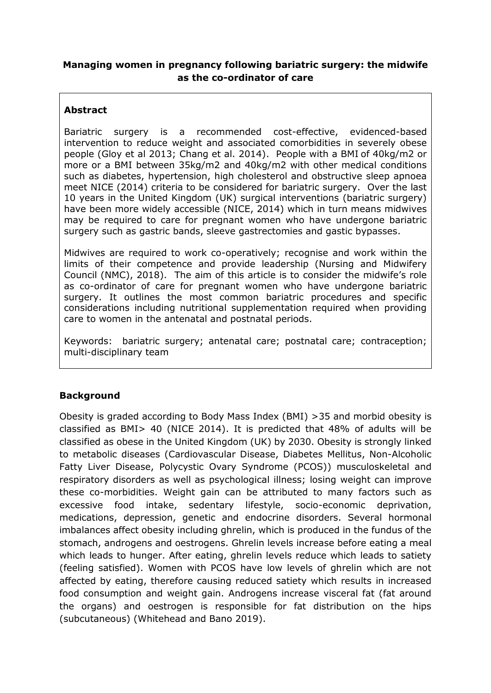### **Managing women in pregnancy following bariatric surgery: the midwife as the co-ordinator of care**

# **Abstract**

Bariatric surgery is a recommended cost-effective, evidenced-based intervention to reduce weight and associated comorbidities in severely obese people (Gloy et al 2013; Chang et al. 2014). People with a BMI of 40kg/m2 or more or a BMI between 35kg/m2 and 40kg/m2 with other medical conditions such as diabetes, hypertension, high cholesterol and obstructive sleep apnoea meet NICE (2014) criteria to be considered for bariatric surgery. Over the last 10 years in the United Kingdom (UK) surgical interventions (bariatric surgery) have been more widely accessible (NICE, 2014) which in turn means midwives may be required to care for pregnant women who have undergone bariatric surgery such as gastric bands, sleeve gastrectomies and gastic bypasses.

Midwives are required to work co-operatively; recognise and work within the limits of their competence and provide leadership (Nursing and Midwifery Council (NMC), 2018). The aim of this article is to consider the midwife's role as co-ordinator of care for pregnant women who have undergone bariatric surgery. It outlines the most common bariatric procedures and specific considerations including nutritional supplementation required when providing care to women in the antenatal and postnatal periods.

Keywords: bariatric surgery; antenatal care; postnatal care; contraception; multi-disciplinary team

## **Background**

Obesity is graded according to Body Mass Index (BMI) >35 and morbid obesity is classified as BMI> 40 (NICE 2014). It is predicted that 48% of adults will be classified as obese in the United Kingdom (UK) by 2030. Obesity is strongly linked to metabolic diseases (Cardiovascular Disease, Diabetes Mellitus, Non-Alcoholic Fatty Liver Disease, Polycystic Ovary Syndrome (PCOS)) musculoskeletal and respiratory disorders as well as psychological illness; losing weight can improve these co-morbidities. Weight gain can be attributed to many factors such as excessive food intake, sedentary lifestyle, socio-economic deprivation, medications, depression, genetic and endocrine disorders. Several hormonal imbalances affect obesity including ghrelin, which is produced in the fundus of the stomach, androgens and oestrogens. Ghrelin levels increase before eating a meal which leads to hunger. After eating, ghrelin levels reduce which leads to satiety (feeling satisfied). Women with PCOS have low levels of ghrelin which are not affected by eating, therefore causing reduced satiety which results in increased food consumption and weight gain. Androgens increase visceral fat (fat around the organs) and oestrogen is responsible for fat distribution on the hips (subcutaneous) (Whitehead and Bano 2019).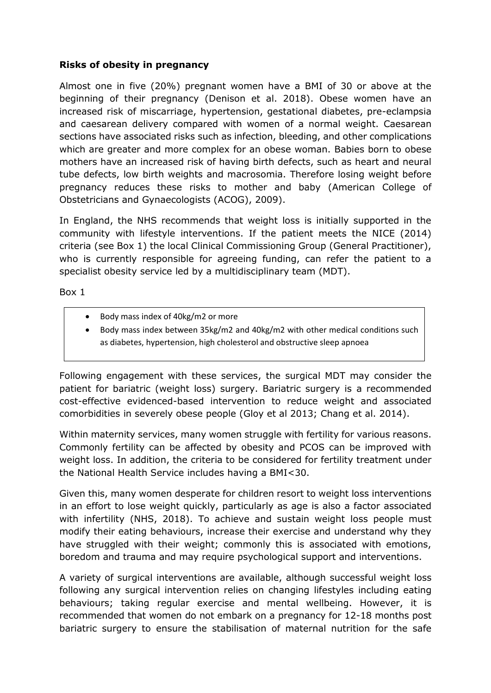### **Risks of obesity in pregnancy**

Almost one in five (20%) pregnant women have a BMI of 30 or above at the beginning of their pregnancy (Denison et al. 2018). Obese women have an increased risk of miscarriage, hypertension, gestational diabetes, pre-eclampsia and caesarean delivery compared with women of a normal weight. Caesarean sections have associated risks such as infection, bleeding, and other complications which are greater and more complex for an obese woman. Babies born to obese mothers have an increased risk of having birth defects, such as heart and neural tube defects, low birth weights and macrosomia. Therefore losing weight before pregnancy reduces these risks to mother and baby (American College of Obstetricians and Gynaecologists (ACOG), 2009).

In England, the NHS recommends that weight loss is initially supported in the community with lifestyle interventions. If the patient meets the NICE (2014) criteria (see Box 1) the local Clinical Commissioning Group (General Practitioner), who is currently responsible for agreeing funding, can refer the patient to a specialist obesity service led by a multidisciplinary team (MDT).

Box 1

- Body mass index of 40kg/m2 or more
- Body mass index between 35kg/m2 and 40kg/m2 with other medical conditions such as diabetes, hypertension, high cholesterol and obstructive sleep apnoea

Following engagement with these services, the surgical MDT may consider the patient for bariatric (weight loss) surgery. Bariatric surgery is a recommended cost-effective evidenced-based intervention to reduce weight and associated comorbidities in severely obese people (Gloy et al 2013; Chang et al. 2014).

Within maternity services, many women struggle with fertility for various reasons. Commonly fertility can be affected by obesity and PCOS can be improved with weight loss. In addition, the criteria to be considered for fertility treatment under the National Health Service includes having a BMI<30.

Given this, many women desperate for children resort to weight loss interventions in an effort to lose weight quickly, particularly as age is also a factor associated with infertility (NHS, 2018). To achieve and sustain weight loss people must modify their eating behaviours, increase their exercise and understand why they have struggled with their weight; commonly this is associated with emotions, boredom and trauma and may require psychological support and interventions.

A variety of surgical interventions are available, although successful weight loss following any surgical intervention relies on changing lifestyles including eating behaviours; taking regular exercise and mental wellbeing. However, it is recommended that women do not embark on a pregnancy for 12-18 months post bariatric surgery to ensure the stabilisation of maternal nutrition for the safe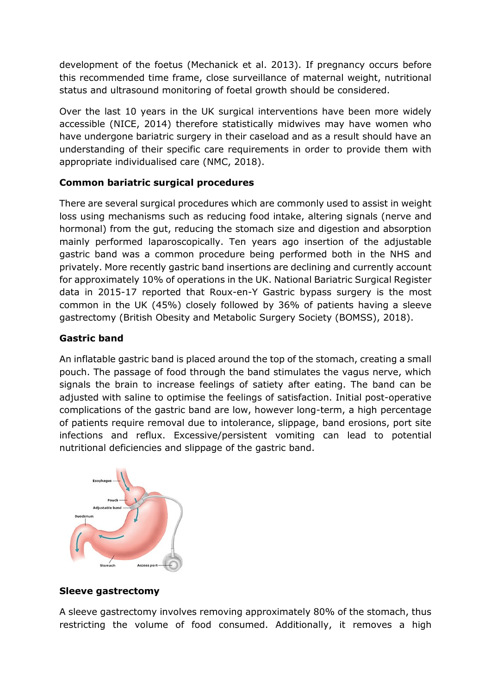development of the foetus (Mechanick et al. 2013). If pregnancy occurs before this recommended time frame, close surveillance of maternal weight, nutritional status and ultrasound monitoring of foetal growth should be considered.

Over the last 10 years in the UK surgical interventions have been more widely accessible (NICE, 2014) therefore statistically midwives may have women who have undergone bariatric surgery in their caseload and as a result should have an understanding of their specific care requirements in order to provide them with appropriate individualised care (NMC, 2018).

## **Common bariatric surgical procedures**

There are several surgical procedures which are commonly used to assist in weight loss using mechanisms such as reducing food intake, altering signals (nerve and hormonal) from the gut, reducing the stomach size and digestion and absorption mainly performed laparoscopically. Ten years ago insertion of the adjustable gastric band was a common procedure being performed both in the NHS and privately. More recently gastric band insertions are declining and currently account for approximately 10% of operations in the UK. National Bariatric Surgical Register data in 2015-17 reported that Roux-en-Y Gastric bypass surgery is the most common in the UK (45%) closely followed by 36% of patients having a sleeve gastrectomy (British Obesity and Metabolic Surgery Society (BOMSS), 2018).

## **Gastric band**

An inflatable gastric band is placed around the top of the stomach, creating a small pouch. The passage of food through the band stimulates the vagus nerve, which signals the brain to increase feelings of satiety after eating. The band can be adjusted with saline to optimise the feelings of satisfaction. Initial post-operative complications of the gastric band are low, however long-term, a high percentage of patients require removal due to intolerance, slippage, band erosions, port site infections and reflux. Excessive/persistent vomiting can lead to potential nutritional deficiencies and slippage of the gastric band.



## **Sleeve gastrectomy**

A sleeve gastrectomy involves removing approximately 80% of the stomach, thus restricting the volume of food consumed. Additionally, it removes a high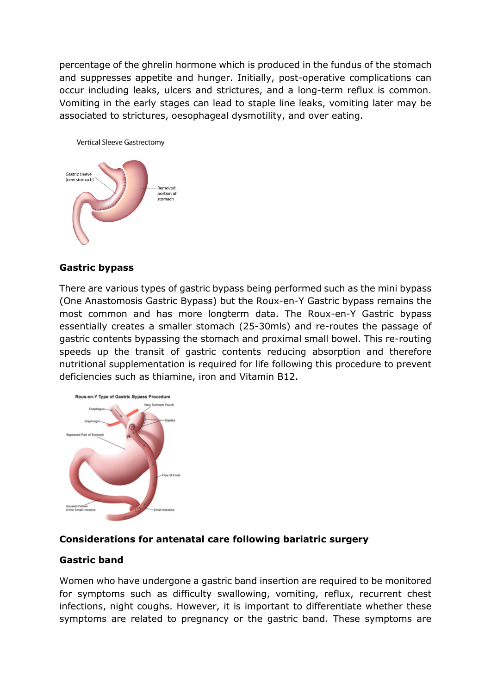percentage of the ghrelin hormone which is produced in the fundus of the stomach and suppresses appetite and hunger. Initially, post-operative complications can occur including leaks, ulcers and strictures, and a long-term reflux is common. Vomiting in the early stages can lead to staple line leaks, vomiting later may be associated to strictures, oesophageal dysmotility, and over eating.



#### **Gastric bypass**

There are various types of gastric bypass being performed such as the mini bypass (One Anastomosis Gastric Bypass) but the Roux-en-Y Gastric bypass remains the most common and has more longterm data. The Roux-en-Y Gastric bypass essentially creates a smaller stomach (25-30mls) and re-routes the passage of gastric contents bypassing the stomach and proximal small bowel. This re-routing speeds up the transit of gastric contents reducing absorption and therefore nutritional supplementation is required for life following this procedure to prevent deficiencies such as thiamine, iron and Vitamin B12.



### **Considerations for antenatal care following bariatric surgery**

#### **Gastric band**

Women who have undergone a gastric band insertion are required to be monitored for symptoms such as difficulty swallowing, vomiting, reflux, recurrent chest infections, night coughs. However, it is important to differentiate whether these symptoms are related to pregnancy or the gastric band. These symptoms are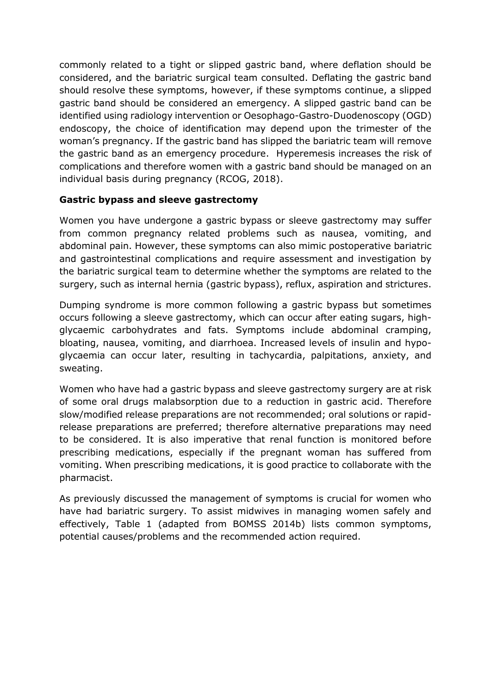commonly related to a tight or slipped gastric band, where deflation should be considered, and the bariatric surgical team consulted. Deflating the gastric band should resolve these symptoms, however, if these symptoms continue, a slipped gastric band should be considered an emergency. A slipped gastric band can be identified using radiology intervention or Oesophago-Gastro-Duodenoscopy (OGD) endoscopy, the choice of identification may depend upon the trimester of the woman's pregnancy. If the gastric band has slipped the bariatric team will remove the gastric band as an emergency procedure. Hyperemesis increases the risk of complications and therefore women with a gastric band should be managed on an individual basis during pregnancy (RCOG, 2018).

## **Gastric bypass and sleeve gastrectomy**

Women you have undergone a gastric bypass or sleeve gastrectomy may suffer from common pregnancy related problems such as nausea, vomiting, and abdominal pain. However, these symptoms can also mimic postoperative bariatric and gastrointestinal complications and require assessment and investigation by the bariatric surgical team to determine whether the symptoms are related to the surgery, such as internal hernia (gastric bypass), reflux, aspiration and strictures.

Dumping syndrome is more common following a gastric bypass but sometimes occurs following a sleeve gastrectomy, which can occur after eating sugars, highglycaemic carbohydrates and fats. Symptoms include abdominal cramping, bloating, nausea, vomiting, and diarrhoea. Increased levels of insulin and hypoglycaemia can occur later, resulting in tachycardia, palpitations, anxiety, and sweating.

Women who have had a gastric bypass and sleeve gastrectomy surgery are at risk of some oral drugs malabsorption due to a reduction in gastric acid. Therefore slow/modified release preparations are not recommended; oral solutions or rapidrelease preparations are preferred; therefore alternative preparations may need to be considered. It is also imperative that renal function is monitored before prescribing medications, especially if the pregnant woman has suffered from vomiting. When prescribing medications, it is good practice to collaborate with the pharmacist.

As previously discussed the management of symptoms is crucial for women who have had bariatric surgery. To assist midwives in managing women safely and effectively, Table 1 (adapted from BOMSS 2014b) lists common symptoms, potential causes/problems and the recommended action required.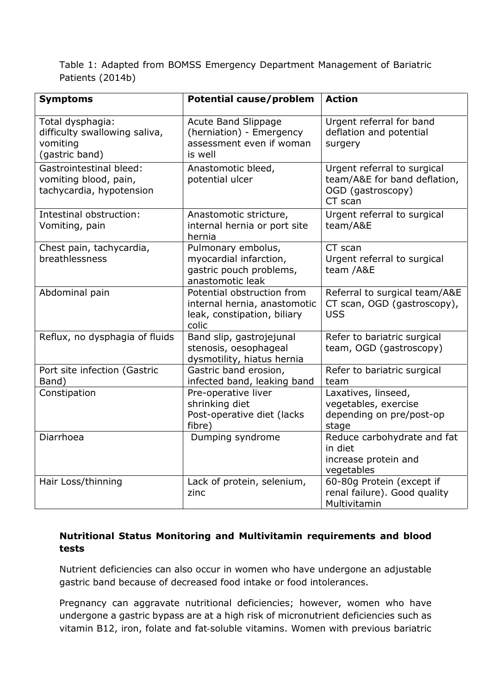Table 1: Adapted from BOMSS Emergency Department Management of Bariatric Patients (2014b)

| <b>Symptoms</b>                                                                 | <b>Potential cause/problem</b>                                                                     | <b>Action</b>                                                                               |  |
|---------------------------------------------------------------------------------|----------------------------------------------------------------------------------------------------|---------------------------------------------------------------------------------------------|--|
| Total dysphagia:<br>difficulty swallowing saliva,<br>vomiting<br>(gastric band) | Acute Band Slippage<br>(herniation) - Emergency<br>assessment even if woman<br>is well             | Urgent referral for band<br>deflation and potential<br>surgery                              |  |
| Gastrointestinal bleed:<br>vomiting blood, pain,<br>tachycardia, hypotension    | Anastomotic bleed,<br>potential ulcer                                                              | Urgent referral to surgical<br>team/A&E for band deflation,<br>OGD (gastroscopy)<br>CT scan |  |
| Intestinal obstruction:<br>Vomiting, pain                                       | Anastomotic stricture,<br>internal hernia or port site<br>hernia                                   | Urgent referral to surgical<br>team/A&E                                                     |  |
| Chest pain, tachycardia,<br>breathlessness                                      | Pulmonary embolus,<br>myocardial infarction,<br>gastric pouch problems,<br>anastomotic leak        | CT scan<br>Urgent referral to surgical<br>team /A&E                                         |  |
| Abdominal pain                                                                  | Potential obstruction from<br>internal hernia, anastomotic<br>leak, constipation, biliary<br>colic | Referral to surgical team/A&E<br>CT scan, OGD (gastroscopy),<br><b>USS</b>                  |  |
| Reflux, no dysphagia of fluids                                                  | Band slip, gastrojejunal<br>stenosis, oesophageal<br>dysmotility, hiatus hernia                    | Refer to bariatric surgical<br>team, OGD (gastroscopy)                                      |  |
| Port site infection (Gastric<br>Band)                                           | Gastric band erosion,<br>infected band, leaking band                                               | Refer to bariatric surgical<br>team                                                         |  |
| Constipation                                                                    | Pre-operative liver<br>shrinking diet<br>Post-operative diet (lacks<br>fibre)                      | Laxatives, linseed,<br>vegetables, exercise<br>depending on pre/post-op<br>stage            |  |
| Diarrhoea                                                                       | Dumping syndrome                                                                                   | Reduce carbohydrate and fat<br>in diet<br>increase protein and<br>vegetables                |  |
| Hair Loss/thinning                                                              | Lack of protein, selenium,<br>zinc                                                                 | 60-80g Protein (except if<br>renal failure). Good quality<br>Multivitamin                   |  |

### **Nutritional Status Monitoring and Multivitamin requirements and blood tests**

Nutrient deficiencies can also occur in women who have undergone an adjustable gastric band because of decreased food intake or food intolerances.

Pregnancy can aggravate nutritional deficiencies; however, women who have undergone a gastric bypass are at a high risk of micronutrient deficiencies such as vitamin B12, iron, folate and fat‐soluble vitamins. Women with previous bariatric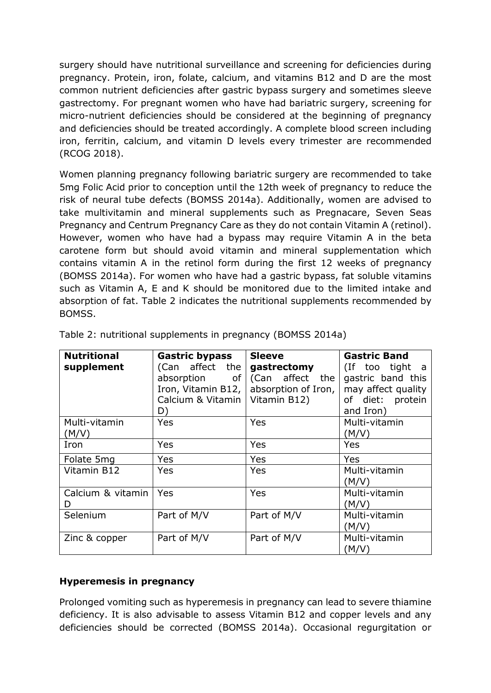surgery should have nutritional surveillance and screening for deficiencies during pregnancy. Protein, iron, folate, calcium, and vitamins B12 and D are the most common nutrient deficiencies after gastric bypass surgery and sometimes sleeve gastrectomy. For pregnant women who have had bariatric surgery, screening for micro-nutrient deficiencies should be considered at the beginning of pregnancy and deficiencies should be treated accordingly. A complete blood screen including iron, ferritin, calcium, and vitamin D levels every trimester are recommended (RCOG 2018).

Women planning pregnancy following bariatric surgery are recommended to take 5mg Folic Acid prior to conception until the 12th week of pregnancy to reduce the risk of neural tube defects (BOMSS 2014a). Additionally, women are advised to take multivitamin and mineral supplements such as Pregnacare, Seven Seas Pregnancy and Centrum Pregnancy Care as they do not contain Vitamin A (retinol). However, women who have had a bypass may require Vitamin A in the beta carotene form but should avoid vitamin and mineral supplementation which contains vitamin A in the retinol form during the first 12 weeks of pregnancy (BOMSS 2014a). For women who have had a gastric bypass, fat soluble vitamins such as Vitamin A, E and K should be monitored due to the limited intake and absorption of fat. Table 2 indicates the nutritional supplements recommended by BOMSS.

| <b>Nutritional</b> | <b>Gastric bypass</b> | <b>Sleeve</b>       | <b>Gastric Band</b> |
|--------------------|-----------------------|---------------------|---------------------|
| supplement         | (Can affect the       | gastrectomy         | (If too tight a     |
|                    | absorption of         | (Can affect the     | gastric band this   |
|                    | Iron, Vitamin B12,    | absorption of Iron, | may affect quality  |
|                    | Calcium & Vitamin     | Vitamin B12)        | of diet: protein    |
|                    | D)                    |                     | and Iron)           |
| Multi-vitamin      | Yes                   | Yes                 | Multi-vitamin       |
| (M/V)              |                       |                     | (M/V)               |
| Iron               | Yes                   | Yes                 | Yes                 |
| Folate 5mg         | <b>Yes</b>            | Yes                 | Yes                 |
| Vitamin B12        | Yes                   | Yes                 | Multi-vitamin       |
|                    |                       |                     | (M/V)               |
| Calcium & vitamin  | Yes                   | Yes                 | Multi-vitamin       |
| D                  |                       |                     | (M/V)               |
| Selenium           | Part of M/V           | Part of M/V         | Multi-vitamin       |
|                    |                       |                     | (M/V)               |
| Zinc & copper      | Part of M/V           | Part of M/V         | Multi-vitamin       |
|                    |                       |                     | (M/V)               |

Table 2: nutritional supplements in pregnancy (BOMSS 2014a)

## **Hyperemesis in pregnancy**

Prolonged vomiting such as hyperemesis in pregnancy can lead to severe thiamine deficiency. It is also advisable to assess Vitamin B12 and copper levels and any deficiencies should be corrected (BOMSS 2014a). Occasional regurgitation or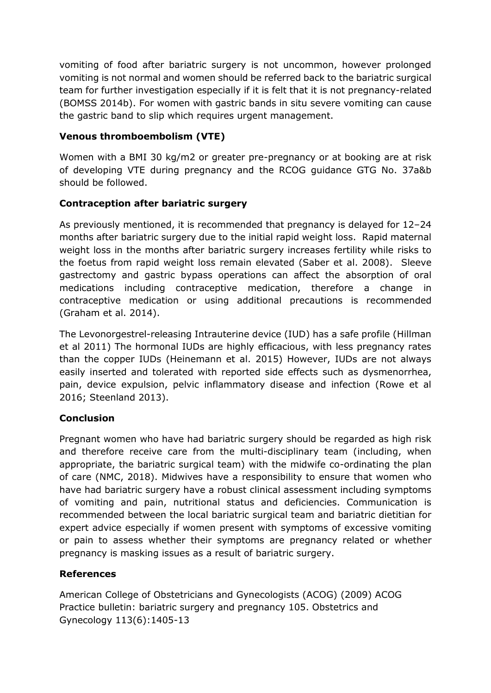vomiting of food after bariatric surgery is not uncommon, however prolonged vomiting is not normal and women should be referred back to the bariatric surgical team for further investigation especially if it is felt that it is not pregnancy-related (BOMSS 2014b). For women with gastric bands in situ severe vomiting can cause the gastric band to slip which requires urgent management.

## **Venous thromboembolism (VTE)**

Women with a BMI 30 kg/m2 or greater pre-pregnancy or at booking are at risk of developing VTE during pregnancy and the RCOG guidance GTG No. 37a&b should be followed.

## **Contraception after bariatric surgery**

As previously mentioned, it is recommended that pregnancy is delayed for 12–24 months after bariatric surgery due to the initial rapid weight loss. Rapid maternal weight loss in the months after bariatric surgery increases fertility while risks to the foetus from rapid weight loss remain elevated (Saber et al. 2008). Sleeve gastrectomy and gastric bypass operations can affect the absorption of oral medications including contraceptive medication, therefore a change in contraceptive medication or using additional precautions is recommended (Graham et al. 2014).

The Levonorgestrel-releasing Intrauterine device (IUD) has a safe profile (Hillman et al 2011) The hormonal IUDs are highly efficacious, with less pregnancy rates than the copper IUDs (Heinemann et al. 2015) However, IUDs are not always easily inserted and tolerated with reported side effects such as dysmenorrhea, pain, device expulsion, pelvic inflammatory disease and infection (Rowe et al 2016; Steenland 2013).

## **Conclusion**

Pregnant women who have had bariatric surgery should be regarded as high risk and therefore receive care from the multi-disciplinary team (including, when appropriate, the bariatric surgical team) with the midwife co-ordinating the plan of care (NMC, 2018). Midwives have a responsibility to ensure that women who have had bariatric surgery have a robust clinical assessment including symptoms of vomiting and pain, nutritional status and deficiencies. Communication is recommended between the local bariatric surgical team and bariatric dietitian for expert advice especially if women present with symptoms of excessive vomiting or pain to assess whether their symptoms are pregnancy related or whether pregnancy is masking issues as a result of bariatric surgery.

## **References**

American College of Obstetricians and Gynecologists (ACOG) (2009) ACOG Practice bulletin: bariatric surgery and pregnancy 105. Obstetrics and Gynecology 113(6):1405-13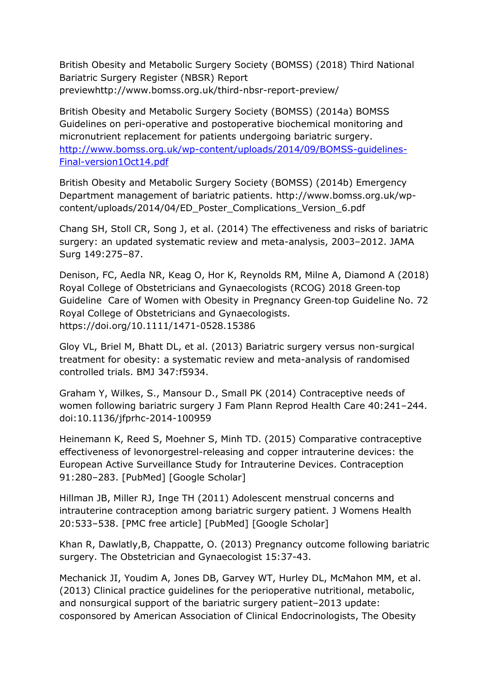British Obesity and Metabolic Surgery Society (BOMSS) (2018) Third National Bariatric Surgery Register (NBSR) Report previewhttp://www.bomss.org.uk/third-nbsr-report-preview/

British Obesity and Metabolic Surgery Society (BOMSS) (2014a) BOMSS Guidelines on peri-operative and postoperative biochemical monitoring and micronutrient replacement for patients undergoing bariatric surgery. [http://www.bomss.org.uk/wp-content/uploads/2014/09/BOMSS-guidelines-](http://www.bomss.org.uk/wp-content/uploads/2014/09/BOMSS-guidelines-Final-version1Oct14.pdf)[Final-version1Oct14.pdf](http://www.bomss.org.uk/wp-content/uploads/2014/09/BOMSS-guidelines-Final-version1Oct14.pdf)

British Obesity and Metabolic Surgery Society (BOMSS) (2014b) Emergency Department management of bariatric patients. http://www.bomss.org.uk/wpcontent/uploads/2014/04/ED\_Poster\_Complications\_Version\_6.pdf

Chang SH, Stoll CR, Song J, et al. (2014) The effectiveness and risks of bariatric surgery: an updated systematic review and meta-analysis, 2003–2012. JAMA Surg 149:275–87.

Denison, FC, Aedla NR, Keag O, Hor K, Reynolds RM, Milne A, Diamond A (2018) Royal College of Obstetricians and Gynaecologists (RCOG) 2018 Green‐top Guideline Care of Women with Obesity in Pregnancy Green‐top Guideline No. 72 Royal College of Obstetricians and Gynaecologists. https://doi.org/10.1111/1471-0528.15386

Gloy VL, Briel M, Bhatt DL, et al. (2013) Bariatric surgery versus non-surgical treatment for obesity: a systematic review and meta-analysis of randomised controlled trials. BMJ 347:f5934.

Graham Y, Wilkes, S., Mansour D., Small PK (2014) Contraceptive needs of women following bariatric surgery J Fam Plann Reprod Health Care 40:241–244. doi:10.1136/jfprhc-2014-100959

Heinemann K, Reed S, Moehner S, Minh TD. (2015) Comparative contraceptive effectiveness of levonorgestrel-releasing and copper intrauterine devices: the European Active Surveillance Study for Intrauterine Devices. Contraception 91:280–283. [PubMed] [Google Scholar]

Hillman JB, Miller RJ, Inge TH (2011) Adolescent menstrual concerns and intrauterine contraception among bariatric surgery patient. J Womens Health 20:533–538. [PMC free article] [PubMed] [Google Scholar]

Khan R, Dawlatly,B, Chappatte, O. (2013) Pregnancy outcome following bariatric surgery. The Obstetrician and Gynaecologist 15:37-43.

Mechanick JI, Youdim A, Jones DB, Garvey WT, Hurley DL, McMahon MM, et al. (2013) Clinical practice guidelines for the perioperative nutritional, metabolic, and nonsurgical support of the bariatric surgery patient–2013 update: cosponsored by American Association of Clinical Endocrinologists, The Obesity